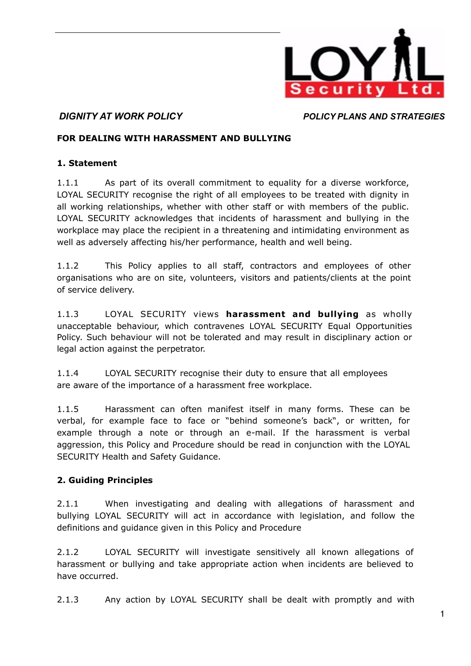

### **FOR DEALING WITH HARASSMENT AND BULLYING**

### **1. Statement**

1.1.1 As part of its overall commitment to equality for a diverse workforce, LOYAL SECURITY recognise the right of all employees to be treated with dignity in all working relationships, whether with other staff or with members of the public. LOYAL SECURITY acknowledges that incidents of harassment and bullying in the workplace may place the recipient in a threatening and intimidating environment as well as adversely affecting his/her performance, health and well being.

1.1.2 This Policy applies to all staff, contractors and employees of other organisations who are on site, volunteers, visitors and patients/clients at the point of service delivery.

1.1.3 LOYAL SECURITY views **harassment and bullying** as wholly unacceptable behaviour, which contravenes LOYAL SECURITY Equal Opportunities Policy. Such behaviour will not be tolerated and may result in disciplinary action or legal action against the perpetrator.

1.1.4 LOYAL SECURITY recognise their duty to ensure that all employees are aware of the importance of a harassment free workplace.

1.1.5 Harassment can often manifest itself in many forms. These can be verbal, for example face to face or "behind someone's back", or written, for example through a note or through an e-mail. If the harassment is verbal aggression, this Policy and Procedure should be read in conjunction with the LOYAL SECURITY Health and Safety Guidance.

## **2. Guiding Principles**

2.1.1 When investigating and dealing with allegations of harassment and bullying LOYAL SECURITY will act in accordance with legislation, and follow the definitions and guidance given in this Policy and Procedure

2.1.2 LOYAL SECURITY will investigate sensitively all known allegations of harassment or bullying and take appropriate action when incidents are believed to have occurred.

2.1.3 Any action by LOYAL SECURITY shall be dealt with promptly and with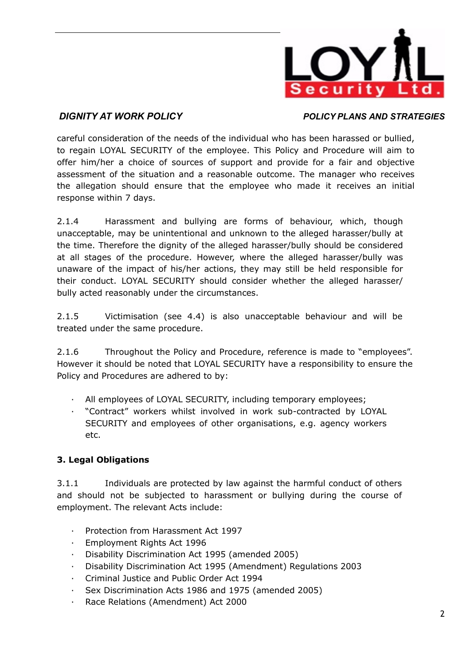

careful consideration of the needs of the individual who has been harassed or bullied, to regain LOYAL SECURITY of the employee. This Policy and Procedure will aim to offer him/her a choice of sources of support and provide for a fair and objective assessment of the situation and a reasonable outcome. The manager who receives the allegation should ensure that the employee who made it receives an initial response within 7 days.

2.1.4 Harassment and bullying are forms of behaviour, which, though unacceptable, may be unintentional and unknown to the alleged harasser/bully at the time. Therefore the dignity of the alleged harasser/bully should be considered at all stages of the procedure. However, where the alleged harasser/bully was unaware of the impact of his/her actions, they may still be held responsible for their conduct. LOYAL SECURITY should consider whether the alleged harasser/ bully acted reasonably under the circumstances.

2.1.5 Victimisation (see 4.4) is also unacceptable behaviour and will be treated under the same procedure.

2.1.6 Throughout the Policy and Procedure, reference is made to "employees". However it should be noted that LOYAL SECURITY have a responsibility to ensure the Policy and Procedures are adhered to by:

- All employees of LOYAL SECURITY, including temporary employees;
- · "Contract" workers whilst involved in work sub-contracted by LOYAL SECURITY and employees of other organisations, e.g. agency workers etc.

## **3. Legal Obligations**

3.1.1 Individuals are protected by law against the harmful conduct of others and should not be subjected to harassment or bullying during the course of employment. The relevant Acts include:

- · Protection from Harassment Act 1997
- · Employment Rights Act 1996
- · Disability Discrimination Act 1995 (amended 2005)
- · Disability Discrimination Act 1995 (Amendment) Regulations 2003
- · Criminal Justice and Public Order Act 1994
- Sex Discrimination Acts 1986 and 1975 (amended 2005)
- Race Relations (Amendment) Act 2000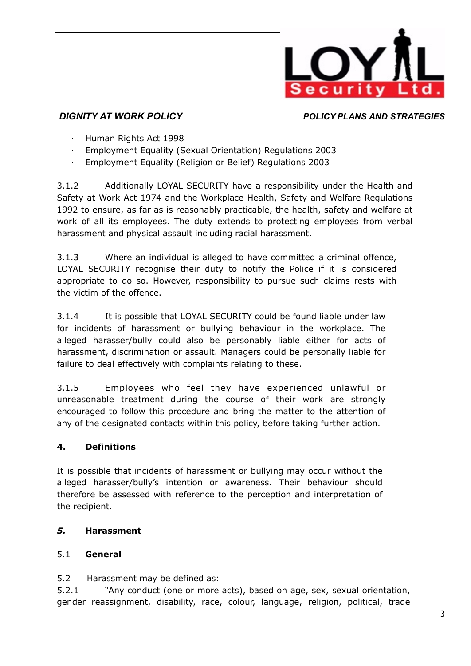

- · Human Rights Act 1998
- · Employment Equality (Sexual Orientation) Regulations 2003
- · Employment Equality (Religion or Belief) Regulations 2003

3.1.2 Additionally LOYAL SECURITY have a responsibility under the Health and Safety at Work Act 1974 and the Workplace Health, Safety and Welfare Regulations 1992 to ensure, as far as is reasonably practicable, the health, safety and welfare at work of all its employees. The duty extends to protecting employees from verbal harassment and physical assault including racial harassment.

3.1.3 Where an individual is alleged to have committed a criminal offence, LOYAL SECURITY recognise their duty to notify the Police if it is considered appropriate to do so. However, responsibility to pursue such claims rests with the victim of the offence.

3.1.4 It is possible that LOYAL SECURITY could be found liable under law for incidents of harassment or bullying behaviour in the workplace. The alleged harasser/bully could also be personably liable either for acts of harassment, discrimination or assault. Managers could be personally liable for failure to deal effectively with complaints relating to these.

3.1.5 Employees who feel they have experienced unlawful or unreasonable treatment during the course of their work are strongly encouraged to follow this procedure and bring the matter to the attention of any of the designated contacts within this policy, before taking further action.

# **4. Definitions**

It is possible that incidents of harassment or bullying may occur without the alleged harasser/bully's intention or awareness. Their behaviour should therefore be assessed with reference to the perception and interpretation of the recipient.

# *5.* **Harassment**

# 5.1 **General**

5.2 Harassment may be defined as:

5.2.1 "Any conduct (one or more acts), based on age, sex, sexual orientation, gender reassignment, disability, race, colour, language, religion, political, trade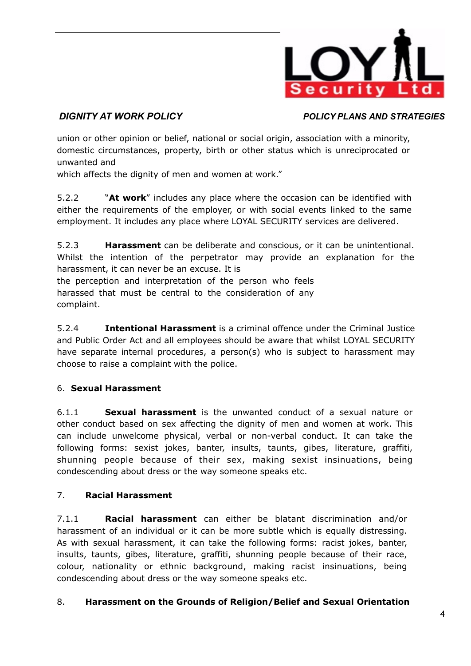

union or other opinion or belief, national or social origin, association with a minority, domestic circumstances, property, birth or other status which is unreciprocated or unwanted and

which affects the dignity of men and women at work."

5.2.2 "**At work**" includes any place where the occasion can be identified with either the requirements of the employer, or with social events linked to the same employment. It includes any place where LOYAL SECURITY services are delivered.

5.2.3 **Harassment** can be deliberate and conscious, or it can be unintentional. Whilst the intention of the perpetrator may provide an explanation for the harassment, it can never be an excuse. It is

the perception and interpretation of the person who feels harassed that must be central to the consideration of any complaint.

5.2.4 **Intentional Harassment** is a criminal offence under the Criminal Justice and Public Order Act and all employees should be aware that whilst LOYAL SECURITY have separate internal procedures, a person(s) who is subject to harassment may choose to raise a complaint with the police.

# 6. **Sexual Harassment**

6.1.1 **Sexual harassment** is the unwanted conduct of a sexual nature or other conduct based on sex affecting the dignity of men and women at work. This can include unwelcome physical, verbal or non-verbal conduct. It can take the following forms: sexist jokes, banter, insults, taunts, gibes, literature, graffiti, shunning people because of their sex, making sexist insinuations, being condescending about dress or the way someone speaks etc.

# 7. **Racial Harassment**

7.1.1 **Racial harassment** can either be blatant discrimination and/or harassment of an individual or it can be more subtle which is equally distressing. As with sexual harassment, it can take the following forms: racist jokes, banter, insults, taunts, gibes, literature, graffiti, shunning people because of their race, colour, nationality or ethnic background, making racist insinuations, being condescending about dress or the way someone speaks etc.

# 8. **Harassment on the Grounds of Religion/Belief and Sexual Orientation**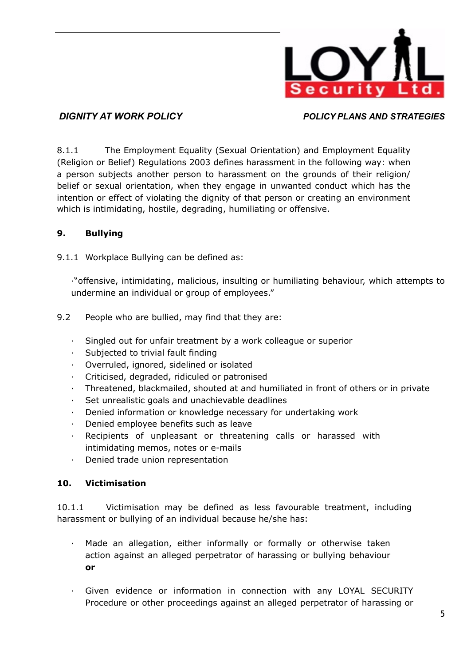

8.1.1 The Employment Equality (Sexual Orientation) and Employment Equality (Religion or Belief) Regulations 2003 defines harassment in the following way: when a person subjects another person to harassment on the grounds of their religion/ belief or sexual orientation, when they engage in unwanted conduct which has the intention or effect of violating the dignity of that person or creating an environment which is intimidating, hostile, degrading, humiliating or offensive.

## **9. Bullying**

9.1.1 Workplace Bullying can be defined as:

·"offensive, intimidating, malicious, insulting or humiliating behaviour, which attempts to undermine an individual or group of employees."

- 9.2 People who are bullied, may find that they are:
	- · Singled out for unfair treatment by a work colleague or superior
	- · Subjected to trivial fault finding
	- Overruled, ignored, sidelined or isolated
	- · Criticised, degraded, ridiculed or patronised
	- · Threatened, blackmailed, shouted at and humiliated in front of others or in private
	- Set unrealistic goals and unachievable deadlines
	- · Denied information or knowledge necessary for undertaking work
	- · Denied employee benefits such as leave
	- Recipients of unpleasant or threatening calls or harassed with intimidating memos, notes or e-mails
	- · Denied trade union representation

## **10. Victimisation**

10.1.1 Victimisation may be defined as less favourable treatment, including harassment or bullying of an individual because he/she has:

- · Made an allegation, either informally or formally or otherwise taken action against an alleged perpetrator of harassing or bullying behaviour **or**
- · Given evidence or information in connection with any LOYAL SECURITY Procedure or other proceedings against an alleged perpetrator of harassing or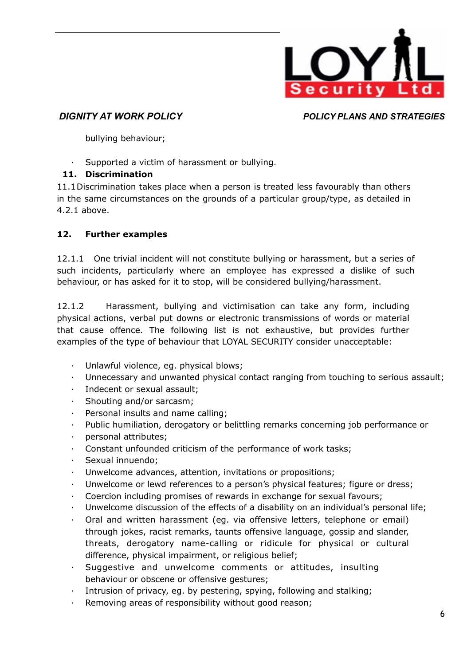

bullying behaviour;

Supported a victim of harassment or bullying.

# **11. Discrimination**

11.1 Discrimination takes place when a person is treated less favourably than others in the same circumstances on the grounds of a particular group/type, as detailed in 4.2.1 above.

# **12. Further examples**

12.1.1 One trivial incident will not constitute bullying or harassment, but a series of such incidents, particularly where an employee has expressed a dislike of such behaviour, or has asked for it to stop, will be considered bullying/harassment.

12.1.2 Harassment, bullying and victimisation can take any form, including physical actions, verbal put downs or electronic transmissions of words or material that cause offence. The following list is not exhaustive, but provides further examples of the type of behaviour that LOYAL SECURITY consider unacceptable:

- · Unlawful violence, eg. physical blows;
- · Unnecessary and unwanted physical contact ranging from touching to serious assault;
- · Indecent or sexual assault;
- Shouting and/or sarcasm;
- · Personal insults and name calling;
- Public humiliation, derogatory or belittling remarks concerning job performance or
- · personal attributes;
- · Constant unfounded criticism of the performance of work tasks;
- · Sexual innuendo;
- Unwelcome advances, attention, invitations or propositions;
- · Unwelcome or lewd references to a person's physical features; figure or dress;
- · Coercion including promises of rewards in exchange for sexual favours;
- · Unwelcome discussion of the effects of a disability on an individual's personal life;
- Oral and written harassment (eg. via offensive letters, telephone or email) through jokes, racist remarks, taunts offensive language, gossip and slander, threats, derogatory name-calling or ridicule for physical or cultural difference, physical impairment, or religious belief;
- Suggestive and unwelcome comments or attitudes, insulting behaviour or obscene or offensive gestures;
- · Intrusion of privacy, eg. by pestering, spying, following and stalking;
- Removing areas of responsibility without good reason;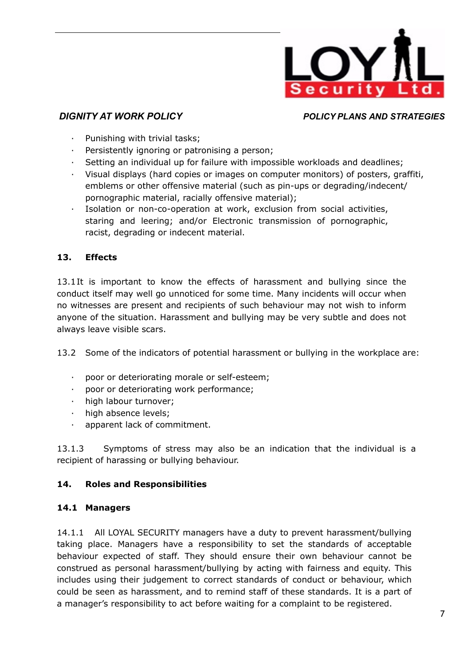

- Punishing with trivial tasks;
- Persistently ignoring or patronising a person;
- · Setting an individual up for failure with impossible workloads and deadlines;
- · Visual displays (hard copies or images on computer monitors) of posters, graffiti, emblems or other offensive material (such as pin-ups or degrading/indecent/ pornographic material, racially offensive material);
- Isolation or non-co-operation at work, exclusion from social activities, staring and leering; and/or Electronic transmission of pornographic, racist, degrading or indecent material.

## **13. Effects**

13.1 It is important to know the effects of harassment and bullying since the conduct itself may well go unnoticed for some time. Many incidents will occur when no witnesses are present and recipients of such behaviour may not wish to inform anyone of the situation. Harassment and bullying may be very subtle and does not always leave visible scars.

13.2 Some of the indicators of potential harassment or bullying in the workplace are:

- · poor or deteriorating morale or self-esteem;
- poor or deteriorating work performance;
- · high labour turnover;
- · high absence levels;
- apparent lack of commitment.

13.1.3 Symptoms of stress may also be an indication that the individual is a recipient of harassing or bullying behaviour.

### **14. Roles and Responsibilities**

### **14.1 Managers**

14.1.1 All LOYAL SECURITY managers have a duty to prevent harassment/bullying taking place. Managers have a responsibility to set the standards of acceptable behaviour expected of staff. They should ensure their own behaviour cannot be construed as personal harassment/bullying by acting with fairness and equity. This includes using their judgement to correct standards of conduct or behaviour, which could be seen as harassment, and to remind staff of these standards. It is a part of a manager's responsibility to act before waiting for a complaint to be registered.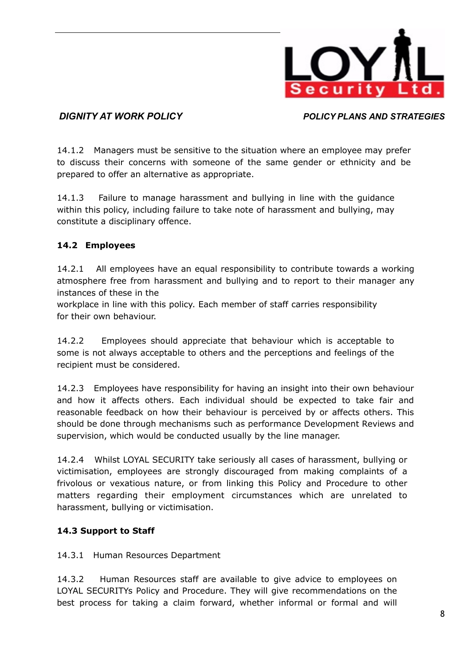

14.1.2 Managers must be sensitive to the situation where an employee may prefer to discuss their concerns with someone of the same gender or ethnicity and be prepared to offer an alternative as appropriate.

14.1.3 Failure to manage harassment and bullying in line with the guidance within this policy, including failure to take note of harassment and bullying, may constitute a disciplinary offence.

# **14.2 Employees**

14.2.1 All employees have an equal responsibility to contribute towards a working atmosphere free from harassment and bullying and to report to their manager any instances of these in the

workplace in line with this policy. Each member of staff carries responsibility for their own behaviour.

14.2.2 Employees should appreciate that behaviour which is acceptable to some is not always acceptable to others and the perceptions and feelings of the recipient must be considered.

14.2.3 Employees have responsibility for having an insight into their own behaviour and how it affects others. Each individual should be expected to take fair and reasonable feedback on how their behaviour is perceived by or affects others. This should be done through mechanisms such as performance Development Reviews and supervision, which would be conducted usually by the line manager.

14.2.4 Whilst LOYAL SECURITY take seriously all cases of harassment, bullying or victimisation, employees are strongly discouraged from making complaints of a frivolous or vexatious nature, or from linking this Policy and Procedure to other matters regarding their employment circumstances which are unrelated to harassment, bullying or victimisation.

# **14.3 Support to Staff**

## 14.3.1 Human Resources Department

14.3.2 Human Resources staff are available to give advice to employees on LOYAL SECURITYs Policy and Procedure. They will give recommendations on the best process for taking a claim forward, whether informal or formal and will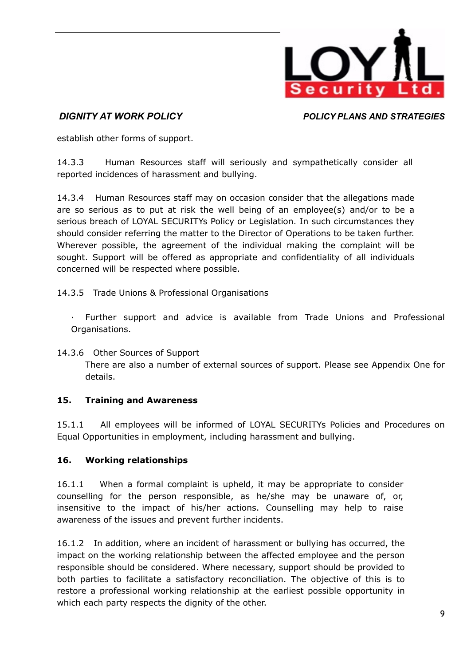

establish other forms of support.

14.3.3 Human Resources staff will seriously and sympathetically consider all reported incidences of harassment and bullying.

14.3.4 Human Resources staff may on occasion consider that the allegations made are so serious as to put at risk the well being of an employee(s) and/or to be a serious breach of LOYAL SECURITYs Policy or Legislation. In such circumstances they should consider referring the matter to the Director of Operations to be taken further. Wherever possible, the agreement of the individual making the complaint will be sought. Support will be offered as appropriate and confidentiality of all individuals concerned will be respected where possible.

14.3.5 Trade Unions & Professional Organisations

· Further support and advice is available from Trade Unions and Professional Organisations.

### 14.3.6 Other Sources of Support

There are also a number of external sources of support. Please see Appendix One for details.

## **15. Training and Awareness**

15.1.1 All employees will be informed of LOYAL SECURITYs Policies and Procedures on Equal Opportunities in employment, including harassment and bullying.

## **16. Working relationships**

16.1.1 When a formal complaint is upheld, it may be appropriate to consider counselling for the person responsible, as he/she may be unaware of, or, insensitive to the impact of his/her actions. Counselling may help to raise awareness of the issues and prevent further incidents.

16.1.2 In addition, where an incident of harassment or bullying has occurred, the impact on the working relationship between the affected employee and the person responsible should be considered. Where necessary, support should be provided to both parties to facilitate a satisfactory reconciliation. The objective of this is to restore a professional working relationship at the earliest possible opportunity in which each party respects the dignity of the other.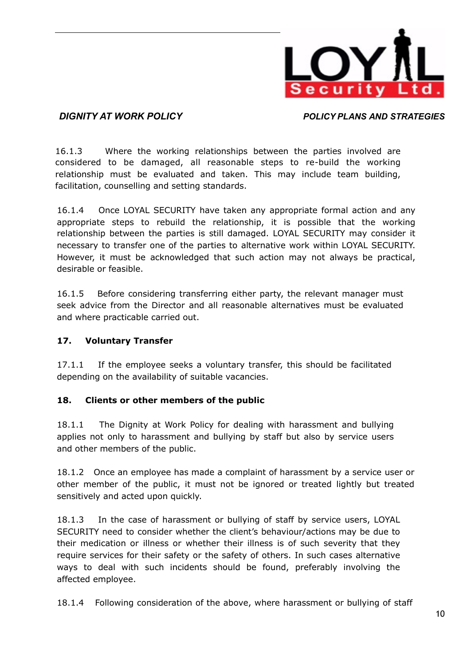

16.1.3 Where the working relationships between the parties involved are considered to be damaged, all reasonable steps to re-build the working relationship must be evaluated and taken. This may include team building, facilitation, counselling and setting standards.

16.1.4 Once LOYAL SECURITY have taken any appropriate formal action and any appropriate steps to rebuild the relationship, it is possible that the working relationship between the parties is still damaged. LOYAL SECURITY may consider it necessary to transfer one of the parties to alternative work within LOYAL SECURITY. However, it must be acknowledged that such action may not always be practical, desirable or feasible.

16.1.5 Before considering transferring either party, the relevant manager must seek advice from the Director and all reasonable alternatives must be evaluated and where practicable carried out.

## **17. Voluntary Transfer**

17.1.1 If the employee seeks a voluntary transfer, this should be facilitated depending on the availability of suitable vacancies.

## **18. Clients or other members of the public**

18.1.1 The Dignity at Work Policy for dealing with harassment and bullying applies not only to harassment and bullying by staff but also by service users and other members of the public.

18.1.2 Once an employee has made a complaint of harassment by a service user or other member of the public, it must not be ignored or treated lightly but treated sensitively and acted upon quickly.

18.1.3 In the case of harassment or bullying of staff by service users, LOYAL SECURITY need to consider whether the client's behaviour/actions may be due to their medication or illness or whether their illness is of such severity that they require services for their safety or the safety of others. In such cases alternative ways to deal with such incidents should be found, preferably involving the affected employee.

18.1.4 Following consideration of the above, where harassment or bullying of staff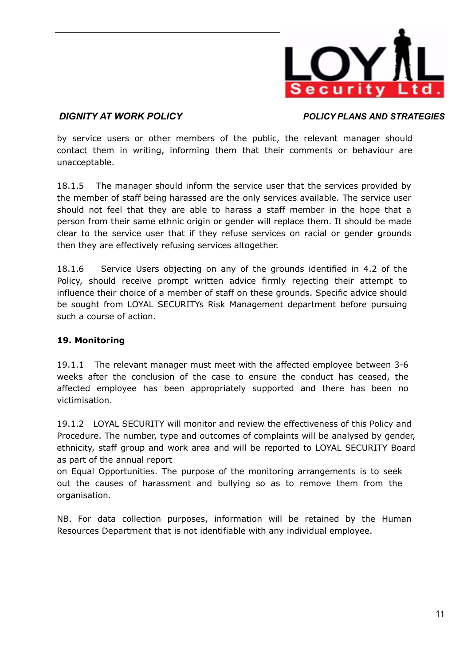

by service users or other members of the public, the relevant manager should contact them in writing, informing them that their comments or behaviour are unacceptable.

18.1.5 The manager should inform the service user that the services provided by the member of staff being harassed are the only services available. The service user should not feel that they are able to harass a staff member in the hope that a person from their same ethnic origin or gender will replace them. It should be made clear to the service user that if they refuse services on racial or gender grounds then they are effectively refusing services altogether.

18.1.6 Service Users objecting on any of the grounds identified in 4.2 of the Policy, should receive prompt written advice firmly rejecting their attempt to influence their choice of a member of staff on these grounds. Specific advice should be sought from LOYAL SECURITYs Risk Management department before pursuing such a course of action.

## **19. Monitoring**

19.1.1 The relevant manager must meet with the affected employee between 3-6 weeks after the conclusion of the case to ensure the conduct has ceased, the affected employee has been appropriately supported and there has been no victimisation.

19.1.2 LOYAL SECURITY will monitor and review the effectiveness of this Policy and Procedure. The number, type and outcomes of complaints will be analysed by gender, ethnicity, staff group and work area and will be reported to LOYAL SECURITY Board as part of the annual report

on Equal Opportunities. The purpose of the monitoring arrangements is to seek out the causes of harassment and bullying so as to remove them from the organisation.

NB. For data collection purposes, information will be retained by the Human Resources Department that is not identifiable with any individual employee.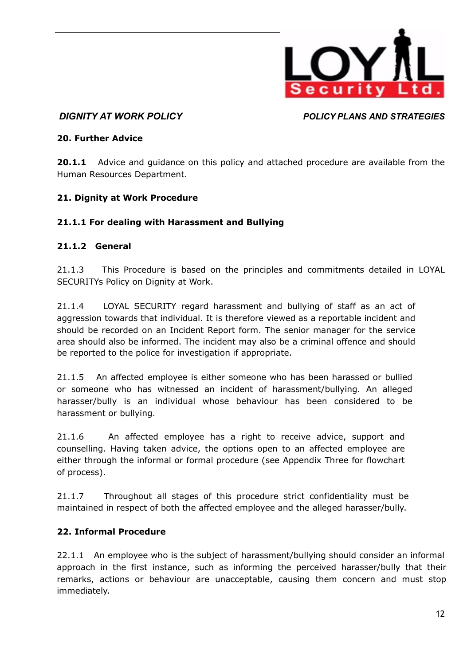

### **20. Further Advice**

**20.1.1** Advice and quidance on this policy and attached procedure are available from the Human Resources Department.

## **21. Dignity at Work Procedure**

## **21.1.1 For dealing with Harassment and Bullying**

### **21.1.2 General**

21.1.3 This Procedure is based on the principles and commitments detailed in LOYAL SECURITYs Policy on Dignity at Work.

21.1.4 LOYAL SECURITY regard harassment and bullying of staff as an act of aggression towards that individual. It is therefore viewed as a reportable incident and should be recorded on an Incident Report form. The senior manager for the service area should also be informed. The incident may also be a criminal offence and should be reported to the police for investigation if appropriate.

21.1.5 An affected employee is either someone who has been harassed or bullied or someone who has witnessed an incident of harassment/bullying. An alleged harasser/bully is an individual whose behaviour has been considered to be harassment or bullying.

21.1.6 An affected employee has a right to receive advice, support and counselling. Having taken advice, the options open to an affected employee are either through the informal or formal procedure (see Appendix Three for flowchart of process).

21.1.7 Throughout all stages of this procedure strict confidentiality must be maintained in respect of both the affected employee and the alleged harasser/bully.

## **22. Informal Procedure**

22.1.1 An employee who is the subject of harassment/bullying should consider an informal approach in the first instance, such as informing the perceived harasser/bully that their remarks, actions or behaviour are unacceptable, causing them concern and must stop immediately.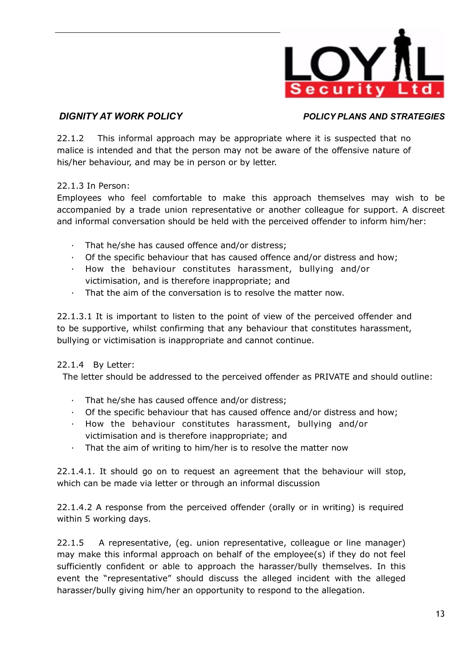

22.1.2 This informal approach may be appropriate where it is suspected that no malice is intended and that the person may not be aware of the offensive nature of his/her behaviour, and may be in person or by letter.

## 22.1.3 In Person:

Employees who feel comfortable to make this approach themselves may wish to be accompanied by a trade union representative or another colleague for support. A discreet and informal conversation should be held with the perceived offender to inform him/her:

- · That he/she has caused offence and/or distress;
- · Of the specific behaviour that has caused offence and/or distress and how;
- · How the behaviour constitutes harassment, bullying and/or victimisation, and is therefore inappropriate; and
- That the aim of the conversation is to resolve the matter now.

22.1.3.1 It is important to listen to the point of view of the perceived offender and to be supportive, whilst confirming that any behaviour that constitutes harassment, bullying or victimisation is inappropriate and cannot continue.

## 22.1.4 By Letter:

The letter should be addressed to the perceived offender as PRIVATE and should outline:

- · That he/she has caused offence and/or distress;
- · Of the specific behaviour that has caused offence and/or distress and how;
- · How the behaviour constitutes harassment, bullying and/or victimisation and is therefore inappropriate; and
- · That the aim of writing to him/her is to resolve the matter now

22.1.4.1. It should go on to request an agreement that the behaviour will stop, which can be made via letter or through an informal discussion

22.1.4.2 A response from the perceived offender (orally or in writing) is required within 5 working days.

22.1.5 A representative, (eg. union representative, colleague or line manager) may make this informal approach on behalf of the employee(s) if they do not feel sufficiently confident or able to approach the harasser/bully themselves. In this event the "representative" should discuss the alleged incident with the alleged harasser/bully giving him/her an opportunity to respond to the allegation.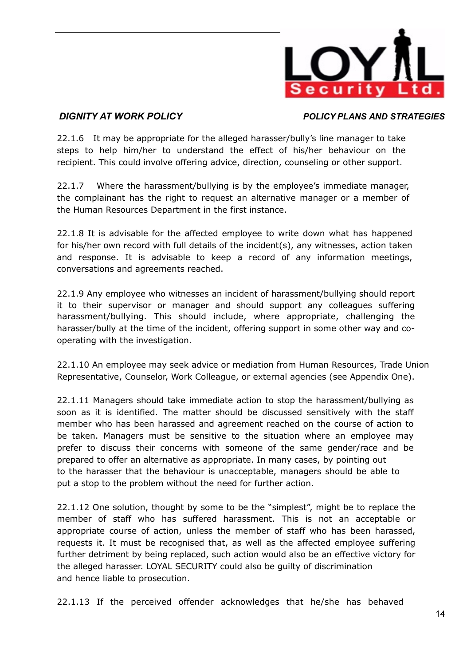

22.1.6 It may be appropriate for the alleged harasser/bully's line manager to take steps to help him/her to understand the effect of his/her behaviour on the recipient. This could involve offering advice, direction, counseling or other support.

22.1.7 Where the harassment/bullying is by the employee's immediate manager, the complainant has the right to request an alternative manager or a member of the Human Resources Department in the first instance.

22.1.8 It is advisable for the affected employee to write down what has happened for his/her own record with full details of the incident(s), any witnesses, action taken and response. It is advisable to keep a record of any information meetings, conversations and agreements reached.

22.1.9 Any employee who witnesses an incident of harassment/bullying should report it to their supervisor or manager and should support any colleagues suffering harassment/bullying. This should include, where appropriate, challenging the harasser/bully at the time of the incident, offering support in some other way and cooperating with the investigation.

22.1.10 An employee may seek advice or mediation from Human Resources, Trade Union Representative, Counselor, Work Colleague, or external agencies (see Appendix One).

22.1.11 Managers should take immediate action to stop the harassment/bullying as soon as it is identified. The matter should be discussed sensitively with the staff member who has been harassed and agreement reached on the course of action to be taken. Managers must be sensitive to the situation where an employee may prefer to discuss their concerns with someone of the same gender/race and be prepared to offer an alternative as appropriate. In many cases, by pointing out to the harasser that the behaviour is unacceptable, managers should be able to put a stop to the problem without the need for further action.

22.1.12 One solution, thought by some to be the "simplest", might be to replace the member of staff who has suffered harassment. This is not an acceptable or appropriate course of action, unless the member of staff who has been harassed, requests it. It must be recognised that, as well as the affected employee suffering further detriment by being replaced, such action would also be an effective victory for the alleged harasser. LOYAL SECURITY could also be guilty of discrimination and hence liable to prosecution.

22.1.13 If the perceived offender acknowledges that he/she has behaved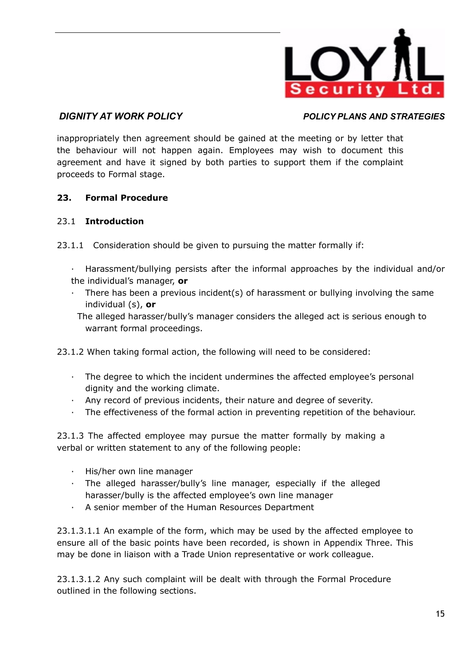

inappropriately then agreement should be gained at the meeting or by letter that the behaviour will not happen again. Employees may wish to document this agreement and have it signed by both parties to support them if the complaint proceeds to Formal stage.

## **23. Formal Procedure**

## 23.1 **Introduction**

- 23.1.1 Consideration should be given to pursuing the matter formally if:
	- · Harassment/bullying persists after the informal approaches by the individual and/or the individual's manager, **or**
	- · There has been a previous incident(s) of harassment or bullying involving the same individual (s), **or**
	- The alleged harasser/bully's manager considers the alleged act is serious enough to warrant formal proceedings.
- 23.1.2 When taking formal action, the following will need to be considered:
	- · The degree to which the incident undermines the affected employee's personal dignity and the working climate.
	- · Any record of previous incidents, their nature and degree of severity.
	- · The effectiveness of the formal action in preventing repetition of the behaviour.

23.1.3 The affected employee may pursue the matter formally by making a verbal or written statement to any of the following people:

- · His/her own line manager
- · The alleged harasser/bully's line manager, especially if the alleged harasser/bully is the affected employee's own line manager
- · A senior member of the Human Resources Department

23.1.3.1.1 An example of the form, which may be used by the affected employee to ensure all of the basic points have been recorded, is shown in Appendix Three. This may be done in liaison with a Trade Union representative or work colleague.

23.1.3.1.2 Any such complaint will be dealt with through the Formal Procedure outlined in the following sections.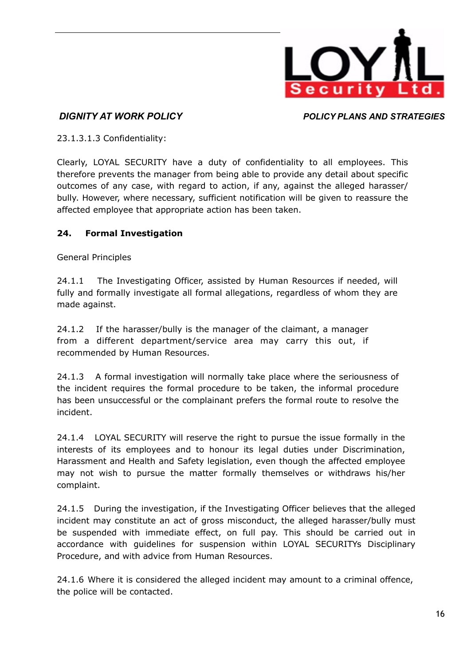

23.1.3.1.3 Confidentiality:

Clearly, LOYAL SECURITY have a duty of confidentiality to all employees. This therefore prevents the manager from being able to provide any detail about specific outcomes of any case, with regard to action, if any, against the alleged harasser/ bully. However, where necessary, sufficient notification will be given to reassure the affected employee that appropriate action has been taken.

# **24. Formal Investigation**

General Principles

24.1.1 The Investigating Officer, assisted by Human Resources if needed, will fully and formally investigate all formal allegations, regardless of whom they are made against.

24.1.2 If the harasser/bully is the manager of the claimant, a manager from a different department/service area may carry this out, if recommended by Human Resources.

24.1.3 A formal investigation will normally take place where the seriousness of the incident requires the formal procedure to be taken, the informal procedure has been unsuccessful or the complainant prefers the formal route to resolve the incident.

24.1.4 LOYAL SECURITY will reserve the right to pursue the issue formally in the interests of its employees and to honour its legal duties under Discrimination, Harassment and Health and Safety legislation, even though the affected employee may not wish to pursue the matter formally themselves or withdraws his/her complaint.

24.1.5 During the investigation, if the Investigating Officer believes that the alleged incident may constitute an act of gross misconduct, the alleged harasser/bully must be suspended with immediate effect, on full pay. This should be carried out in accordance with guidelines for suspension within LOYAL SECURITYs Disciplinary Procedure, and with advice from Human Resources.

24.1.6 Where it is considered the alleged incident may amount to a criminal offence, the police will be contacted.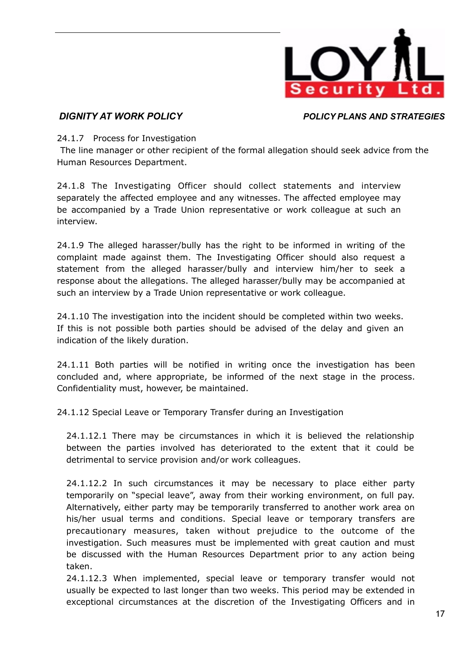

### 24.1.7 Process for Investigation

The line manager or other recipient of the formal allegation should seek advice from the Human Resources Department.

24.1.8 The Investigating Officer should collect statements and interview separately the affected employee and any witnesses. The affected employee may be accompanied by a Trade Union representative or work colleague at such an interview.

24.1.9 The alleged harasser/bully has the right to be informed in writing of the complaint made against them. The Investigating Officer should also request a statement from the alleged harasser/bully and interview him/her to seek a response about the allegations. The alleged harasser/bully may be accompanied at such an interview by a Trade Union representative or work colleague.

24.1.10 The investigation into the incident should be completed within two weeks. If this is not possible both parties should be advised of the delay and given an indication of the likely duration.

24.1.11 Both parties will be notified in writing once the investigation has been concluded and, where appropriate, be informed of the next stage in the process. Confidentiality must, however, be maintained.

24.1.12 Special Leave or Temporary Transfer during an Investigation

24.1.12.1 There may be circumstances in which it is believed the relationship between the parties involved has deteriorated to the extent that it could be detrimental to service provision and/or work colleagues.

24.1.12.2 In such circumstances it may be necessary to place either party temporarily on "special leave", away from their working environment, on full pay. Alternatively, either party may be temporarily transferred to another work area on his/her usual terms and conditions. Special leave or temporary transfers are precautionary measures, taken without prejudice to the outcome of the investigation. Such measures must be implemented with great caution and must be discussed with the Human Resources Department prior to any action being taken.

24.1.12.3 When implemented, special leave or temporary transfer would not usually be expected to last longer than two weeks. This period may be extended in exceptional circumstances at the discretion of the Investigating Officers and in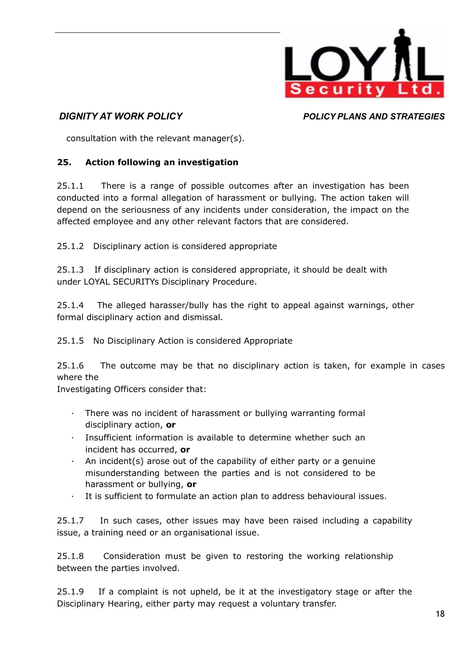

consultation with the relevant manager(s).

# **25. Action following an investigation**

25.1.1 There is a range of possible outcomes after an investigation has been conducted into a formal allegation of harassment or bullying. The action taken will depend on the seriousness of any incidents under consideration, the impact on the affected employee and any other relevant factors that are considered.

25.1.2 Disciplinary action is considered appropriate

25.1.3 If disciplinary action is considered appropriate, it should be dealt with under LOYAL SECURITYs Disciplinary Procedure.

25.1.4 The alleged harasser/bully has the right to appeal against warnings, other formal disciplinary action and dismissal.

25.1.5 No Disciplinary Action is considered Appropriate

25.1.6 The outcome may be that no disciplinary action is taken, for example in cases where the

Investigating Officers consider that:

- · There was no incident of harassment or bullying warranting formal disciplinary action, **or**
- · Insufficient information is available to determine whether such an incident has occurred, **or**
- An incident(s) arose out of the capability of either party or a genuine misunderstanding between the parties and is not considered to be harassment or bullying, **or**
- It is sufficient to formulate an action plan to address behavioural issues.

25.1.7 In such cases, other issues may have been raised including a capability issue, a training need or an organisational issue.

25.1.8 Consideration must be given to restoring the working relationship between the parties involved.

25.1.9 If a complaint is not upheld, be it at the investigatory stage or after the Disciplinary Hearing, either party may request a voluntary transfer.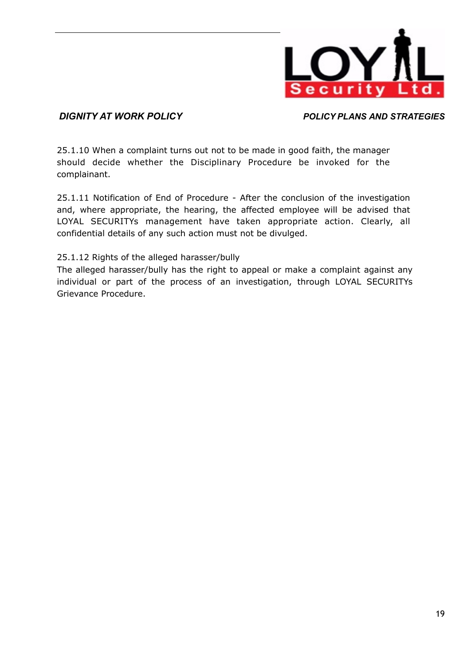

25.1.10 When a complaint turns out not to be made in good faith, the manager should decide whether the Disciplinary Procedure be invoked for the complainant.

25.1.11 Notification of End of Procedure - After the conclusion of the investigation and, where appropriate, the hearing, the affected employee will be advised that LOYAL SECURITYs management have taken appropriate action. Clearly, all confidential details of any such action must not be divulged.

## 25.1.12 Rights of the alleged harasser/bully

The alleged harasser/bully has the right to appeal or make a complaint against any individual or part of the process of an investigation, through LOYAL SECURITYs Grievance Procedure.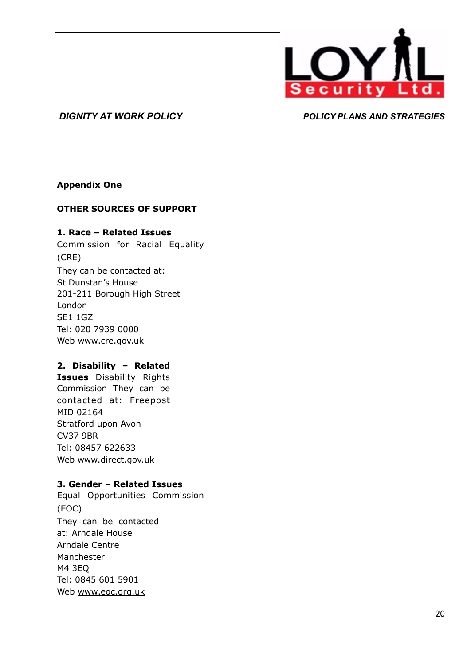

### **Appendix One**

### **OTHER SOURCES OF SUPPORT**

### **1. Race – Related Issues**

Commission for Racial Equality (CRE) They can be contacted at: St Dunstan's House 201-211 Borough High Street London SE1 1GZ Tel: 020 7939 0000 Web [www.cre.gov.uk](http://www.cre.gov.uk)

## **2. Disability – Related**

**Issues** Disability Rights Commission They can be contacted at: Freepost MID 02164 Stratford upon Avon CV37 9BR Tel: 08457 622633 Web [www.direct.gov.uk](http://www.direct.gov.uk)

### **3. Gender – Related Issues**

Equal Opportunities Commission (EOC) They can be contacted at: Arndale House Arndale Centre Manchester M4 3EQ Tel: 0845 601 5901 Web [www.eoc.org.uk](http://www.eoc.org.uk/)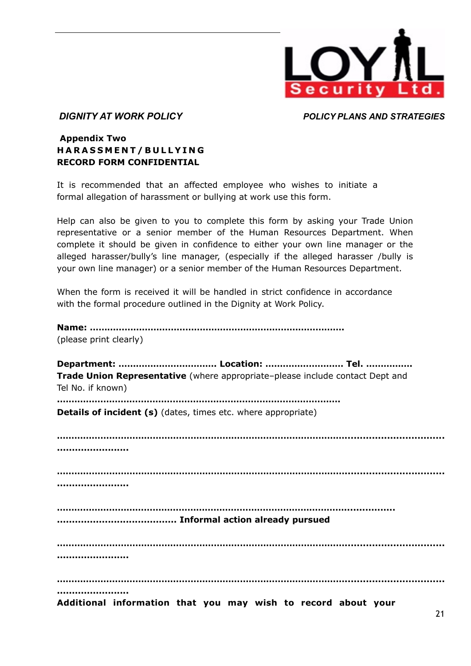

## **Appendix Two H A R A S S M E N T / B ULL Y I N G RECORD FORM CONFIDENTIAL**

It is recommended that an affected employee who wishes to initiate a formal allegation of harassment or bullying at work use this form.

Help can also be given to you to complete this form by asking your Trade Union representative or a senior member of the Human Resources Department. When complete it should be given in confidence to either your own line manager or the alleged harasser/bully's line manager, (especially if the alleged harasser /bully is your own line manager) or a senior member of the Human Resources Department.

When the form is received it will be handled in strict confidence in accordance with the formal procedure outlined in the Dignity at Work Policy.

| (please print clearly)                                                                             |
|----------------------------------------------------------------------------------------------------|
| Trade Union Representative (where appropriate-please include contact Dept and<br>Tel No. if known) |
| Details of incident (s) (dates, times etc. where appropriate)                                      |
|                                                                                                    |
|                                                                                                    |
|                                                                                                    |
|                                                                                                    |
| <br>Additional information that you may wish to record about your                                  |